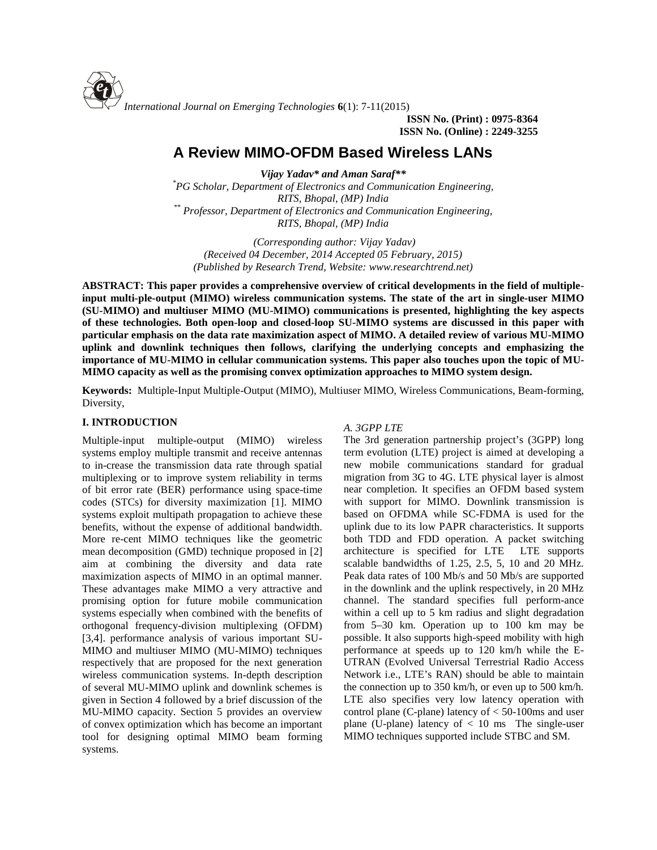

**ISSN No. (Print) : 0975-8364 ISSN No. (Online) : 2249-3255**

# **A Review MIMO-OFDM Based Wireless LANs**

*Vijay Yadav\* and Aman Saraf\*\* \*PG Scholar, Department of Electronics and Communication Engineering, RITS, Bhopal, (MP) India \*\* Professor, Department of Electronics and Communication Engineering, RITS, Bhopal, (MP) India*

*(Corresponding author: Vijay Yadav) (Received 04 December, 2014 Accepted 05 February, 2015) (Published by Research Trend, Website: [www.researchtrend.net\)](www.researchtrend.net)*

**ABSTRACT: This paper provides a comprehensive overview of critical developments in the field of multipleinput multi-ple-output (MIMO) wireless communication systems. The state of the art in single-user MIMO (SU-MIMO) and multiuser MIMO (MU-MIMO) communications is presented, highlighting the key aspects of these technologies. Both open-loop and closed-loop SU-MIMO systems are discussed in this paper with particular emphasis on the data rate maximization aspect of MIMO. A detailed review of various MU-MIMO uplink and downlink techniques then follows, clarifying the underlying concepts and emphasizing the importance of MU-MIMO in cellular communication systems. This paper also touches upon the topic of MU- MIMO capacity as well as the promising convex optimization approaches to MIMO system design.**

**Keywords:** Multiple-Input Multiple-Output (MIMO), Multiuser MIMO, Wireless Communications, Beam-forming, Diversity,

## **I. INTRODUCTION**

Multiple-input multiple-output (MIMO) wireless systems employ multiple transmit and receive antennas to in-crease the transmission data rate through spatial multiplexing or to improve system reliability in terms of bit error rate (BER) performance using space-time codes (STCs) for diversity maximization [1]. MIMO systems exploit multipath propagation to achieve these benefits, without the expense of additional bandwidth. More re-cent MIMO techniques like the geometric mean decomposition (GMD) technique proposed in [2] aim at combining the diversity and data rate maximization aspects of MIMO in an optimal manner. These advantages make MIMO a very attractive and promising option for future mobile communication systems especially when combined with the benefits of orthogonal frequency-division multiplexing (OFDM) [3,4]. performance analysis of various important SU- MIMO and multiuser MIMO (MU-MIMO) techniques respectively that are proposed for the next generation wireless communication systems. In-depth description of several MU-MIMO uplink and downlink schemes is given in Section 4 followed by a brief discussion of the MU-MIMO capacity. Section 5 provides an overview of convex optimization which has become an important tool for designing optimal MIMO beam forming systems.

# *A. 3GPP LTE*

The 3rd generation partnership project's (3GPP) long term evolution (LTE) project is aimed at developing a new mobile communications standard for gradual migration from 3G to 4G. LTE physical layer is almost near completion. It specifies an OFDM based system with support for MIMO. Downlink transmission is based on OFDMA while SC-FDMA is used for the uplink due to its low PAPR characteristics. It supports both TDD and FDD operation. A packet switching architecture is specified for LTE LTE supports scalable bandwidths of 1.25, 2.5, 5, 10 and 20 MHz. Peak data rates of 100 Mb/s and 50 Mb/s are supported in the downlink and the uplink respectively, in 20 MHz channel. The standard specifies full perform-ance within a cell up to 5 km radius and slight degradation from 5–30 km. Operation up to 100 km may be possible. It also supports high-speed mobility with high performance at speeds up to 120 km/h while the E- UTRAN (Evolved Universal Terrestrial Radio Access Network i.e., LTE's RAN) should be able to maintain the connection up to 350 km/h, or even up to 500 km/h. LTE also specifies very low latency operation with control plane (C-plane) latency of  $<$  50-100ms and user plane (U-plane) latency of  $< 10$  ms The single-user MIMO techniques supported include STBC and SM.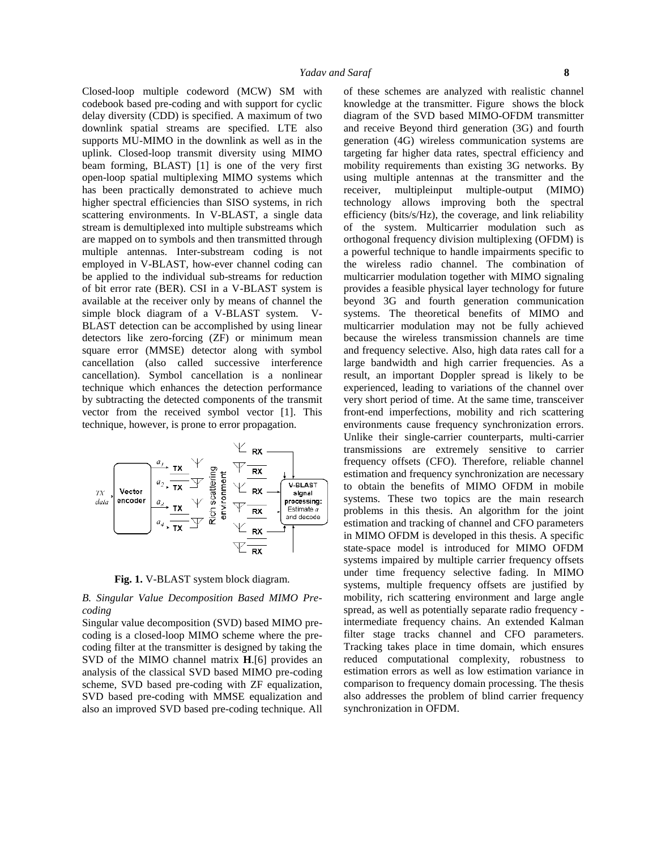Closed-loop multiple codeword (MCW) SM with codebook based pre-coding and with support for cyclic delay diversity (CDD) is specified. A maximum of two downlink spatial streams are specified. LTE also supports MU-MIMO in the downlink as well as in the uplink. Closed-loop transmit diversity using MIMO beam forming, BLAST) [1] is one of the very first open-loop spatial multiplexing MIMO systems which has been practically demonstrated to achieve much higher spectral efficiencies than SISO systems, in rich scattering environments. In V-BLAST, a single data stream is demultiplexed into multiple substreams which are mapped on to symbols and then transmitted through multiple antennas. Inter-substream coding is not employed in V-BLAST, how-ever channel coding can be applied to the individual sub-streams for reduction of bit error rate (BER). CSI in a V-BLAST system is available at the receiver only by means of channel the simple block diagram of a V-BLAST system. V- BLAST detection can be accomplished by using linear detectors like zero-forcing (ZF) or minimum mean square error (MMSE) detector along with symbol cancellation (also called successive interference cancellation). Symbol cancellation is a nonlinear technique which enhances the detection performance by subtracting the detected components of the transmit vector from the received symbol vector [1]. This technique, however, is prone to error propagation.



**Fig. 1.** V-BLAST system block diagram.

#### *B. Singular Value Decomposition Based MIMO Pre coding*

Singular value decomposition (SVD) based MIMO pre coding is a closed-loop MIMO scheme where the pre coding filter at the transmitter is designed by taking the SVD of the MIMO channel matrix **H**.[6] provides an analysis of the classical SVD based MIMO pre-coding scheme, SVD based pre-coding with ZF equalization, SVD based pre-coding with MMSE equalization and also an improved SVD based pre-coding technique. All

of these schemes are analyzed with realistic channel knowledge at the transmitter. Figure shows the block diagram of the SVD based MIMO-OFDM transmitter and receive Beyond third generation (3G) and fourth generation (4G) wireless communication systems are targeting far higher data rates, spectral efficiency and mobility requirements than existing 3G networks. By using multiple antennas at the transmitter and the receiver, multipleinput multiple-output (MIMO) technology allows improving both the spectral efficiency (bits/s/Hz), the coverage, and link reliability of the system. Multicarrier modulation such as orthogonal frequency division multiplexing (OFDM) is a powerful technique to handle impairments specific to the wireless radio channel. The combination of multicarrier modulation together with MIMO signaling provides a feasible physical layer technology for future beyond 3G and fourth generation communication systems. The theoretical benefits of MIMO and multicarrier modulation may not be fully achieved because the wireless transmission channels are time and frequency selective. Also, high data rates call for a large bandwidth and high carrier frequencies. As a result, an important Doppler spread is likely to be experienced, leading to variations of the channel over very short period of time. At the same time, transceiver front-end imperfections, mobility and rich scattering environments cause frequency synchronization errors. Unlike their single-carrier counterparts, multi-carrier transmissions are extremely sensitive to carrier frequency offsets (CFO). Therefore, reliable channel estimation and frequency synchronization are necessary to obtain the benefits of MIMO OFDM in mobile systems. These two topics are the main research problems in this thesis. An algorithm for the joint estimation and tracking of channel and CFO parameters in MIMO OFDM is developed in this thesis. A specific state-space model is introduced for MIMO OFDM systems impaired by multiple carrier frequency offsets under time frequency selective fading. In MIMO systems, multiple frequency offsets are justified by mobility, rich scattering environment and large angle spread, as well as potentially separate radio frequency intermediate frequency chains. An extended Kalman filter stage tracks channel and CFO parameters. Tracking takes place in time domain, which ensures reduced computational complexity, robustness to estimation errors as well as low estimation variance in comparison to frequency domain processing. The thesis also addresses the problem of blind carrier frequency synchronization in OFDM.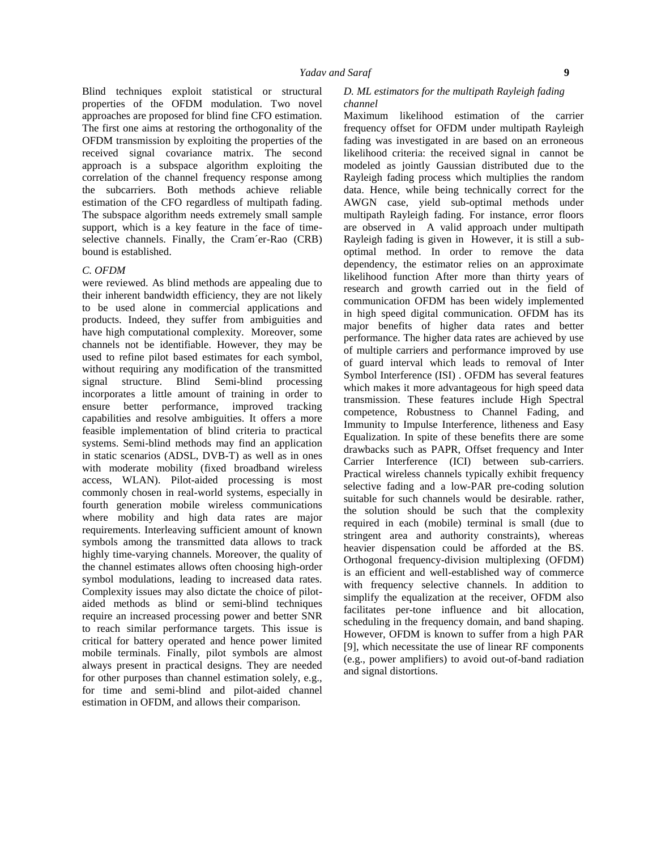Blind techniques exploit statistical or structural properties of the OFDM modulation. Two novel approaches are proposed for blind fine CFO estimation. The first one aims at restoring the orthogonality of the OFDM transmission by exploiting the properties of the received signal covariance matrix. The second approach is a subspace algorithm exploiting the correlation of the channel frequency response among the subcarriers. Both methods achieve reliable estimation of the CFO regardless of multipath fading. The subspace algorithm needs extremely small sample support, which is a key feature in the face of time selective channels. Finally, the Cram´er-Rao (CRB) bound is established.

#### *C. OFDM*

were reviewed. As blind methods are appealing due to their inherent bandwidth efficiency, they are not likely to be used alone in commercial applications and products. Indeed, they suffer from ambiguities and have high computational complexity. Moreover, some channels not be identifiable. However, they may be used to refine pilot based estimates for each symbol, without requiring any modification of the transmitted signal structure. Blind Semi-blind processing incorporates a little amount of training in order to ensure better performance, improved tracking capabilities and resolve ambiguities. It offers a more feasible implementation of blind criteria to practical systems. Semi-blind methods may find an application in static scenarios (ADSL, DVB-T) as well as in ones with moderate mobility (fixed broadband wireless access, WLAN). Pilot-aided processing is most commonly chosen in real-world systems, especially in fourth generation mobile wireless communications where mobility and high data rates are major requirements. Interleaving sufficient amount of known symbols among the transmitted data allows to track highly time-varying channels. Moreover, the quality of the channel estimates allows often choosing high-order symbol modulations, leading to increased data rates. Complexity issues may also dictate the choice of pilot aided methods as blind or semi-blind techniques require an increased processing power and better SNR to reach similar performance targets. This issue is critical for battery operated and hence power limited mobile terminals. Finally, pilot symbols are almost always present in practical designs. They are needed for other purposes than channel estimation solely, e.g., for time and semi-blind and pilot-aided channel estimation in OFDM, and allows their comparison.

### *D. ML estimators for the multipath Rayleigh fading channel*

Maximum likelihood estimation of the carrier frequency offset for OFDM under multipath Rayleigh fading was investigated in are based on an erroneous likelihood criteria: the received signal in cannot be modeled as jointly Gaussian distributed due to the Rayleigh fading process which multiplies the random data. Hence, while being technically correct for the AWGN case, yield sub-optimal methods under multipath Rayleigh fading. For instance, error floors are observed in A valid approach under multipath Rayleigh fading is given in However, it is still a sub optimal method. In order to remove the data dependency, the estimator relies on an approximate likelihood function After more than thirty years of research and growth carried out in the field of communication OFDM has been widely implemented in high speed digital communication. OFDM has its major benefits of higher data rates and better performance. The higher data rates are achieved by use of multiple carriers and performance improved by use of guard interval which leads to removal of Inter Symbol Interference (ISI) . OFDM has several features which makes it more advantageous for high speed data transmission. These features include High Spectral competence, Robustness to Channel Fading, and Immunity to Impulse Interference, litheness and Easy Equalization. In spite of these benefits there are some drawbacks such as PAPR, Offset frequency and Inter Carrier Interference (ICI) between sub-carriers. Practical wireless channels typically exhibit frequency selective fading and a low-PAR pre-coding solution suitable for such channels would be desirable. rather, the solution should be such that the complexity required in each (mobile) terminal is small (due to stringent area and authority constraints), whereas heavier dispensation could be afforded at the BS. Orthogonal frequency-division multiplexing (OFDM) is an efficient and well-established way of commerce with frequency selective channels. In addition to simplify the equalization at the receiver, OFDM also facilitates per-tone influence and bit allocation, scheduling in the frequency domain, and band shaping. However, OFDM is known to suffer from a high PAR [9], which necessitate the use of linear RF components (e.g., power amplifiers) to avoid out-of-band radiation and signal distortions.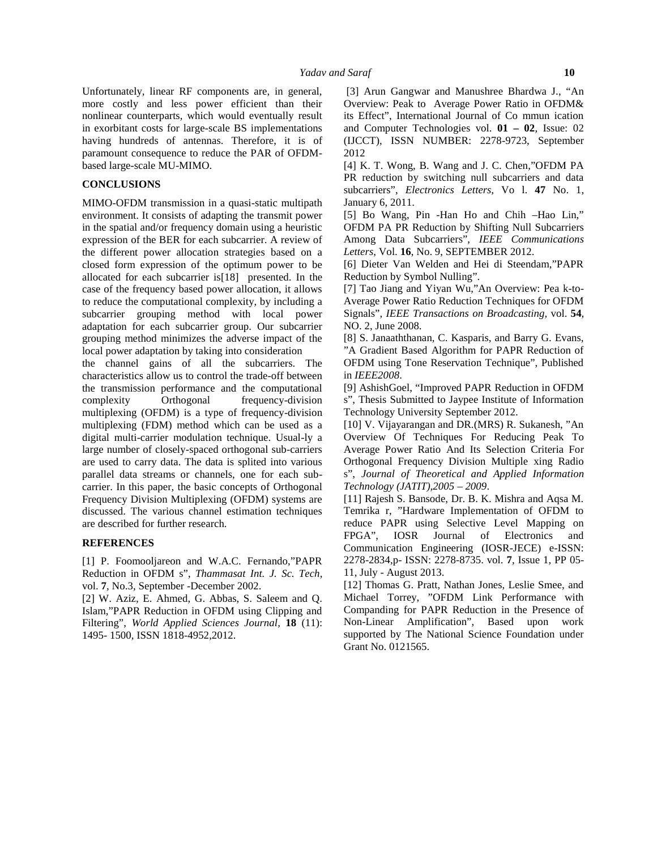Unfortunately, linear RF components are, in general, more costly and less power efficient than their nonlinear counterparts, which would eventually result in exorbitant costs for large-scale BS implementations having hundreds of antennas. Therefore, it is of paramount consequence to reduce the PAR of OFDM based large-scale MU-MIMO.

#### **CONCLUSIONS**

MIMO-OFDM transmission in a quasi-static multipath environment. It consists of adapting the transmit power in the spatial and/or frequency domain using a heuristic expression of the BER for each subcarrier. A review of the different power allocation strategies based on a closed form expression of the optimum power to be allocated for each subcarrier is[18] presented. In the case of the frequency based power allocation, it allows to reduce the computational complexity, by including a subcarrier grouping method with local power adaptation for each subcarrier group. Our subcarrier grouping method minimizes the adverse impact of the local power adaptation by taking into consideration

the channel gains of all the subcarriers. The characteristics allow us to control the trade-off between the transmission performance and the computational complexity Orthogonal frequency-division multiplexing (OFDM) is a type of frequency-division multiplexing (FDM) method which can be used as a digital multi-carrier modulation technique. Usual-ly a large number of closely-spaced orthogonal sub-carriers are used to carry data. The data is splited into various parallel data streams or channels, one for each sub carrier. In this paper, the basic concepts of Orthogonal Frequency Division Multiplexing (OFDM) systems are discussed. The various channel estimation techniques are described for further research.

#### **REFERENCES**

[1] P. Foomooljareon and W.A.C. Fernando,"PAPR Reduction in OFDM s", *Thammasat Int. J. Sc. Tech*, vol. **7**, No.3, September -December 2002.

[2] W. Aziz, E. Ahmed, G. Abbas, S. Saleem and Q. Islam,"PAPR Reduction in OFDM using Clipping and Filtering", *World Applied Sciences Journal,* **18** (11): 1495- 1500, ISSN 1818-4952,2012.

[3] Arun Gangwar and Manushree Bhardwa J., "An Overview: Peak to Average Power Ratio in OFDM& its Effect", International Journal of Co mmun ication and Computer Technologies vol. **01 – 02**, Issue: 02 (IJCCT), ISSN NUMBER: 2278-9723, September 2012

[4] K. T. Wong, B. Wang and J. C. Chen,"OFDM PA PR reduction by switching null subcarriers and data subcarriers", *Electronics Letters,* Vo l. **47** No. 1, January 6, 2011.

[5] Bo Wang, Pin -Han Ho and Chih –Hao Lin," OFDM PA PR Reduction by Shifting Null Subcarriers Among Data Subcarriers", *IEEE Communications Letters*, Vol. **16**, No. 9, SEPTEMBER 2012.

[6] Dieter Van Welden and Hei di Steendam,"PAPR Reduction by Symbol Nulling".

[7] Tao Jiang and Yiyan Wu,"An Overview: Pea k-to- Average Power Ratio Reduction Techniques for OFDM Signals", *IEEE Transactions on Broadcasting,* vol. **54**, NO. 2, June 2008.

[8] S. Janaaththanan, C. Kasparis, and Barry G. Evans, "A Gradient Based Algorithm for PAPR Reduction of OFDM using Tone Reservation Technique", Published in *IEEE2008*.

[9] AshishGoel, "Improved PAPR Reduction in OFDM s", Thesis Submitted to Jaypee Institute of Information Technology University September 2012.

[10] V. Vijayarangan and DR.(MRS) R. Sukanesh, "An Overview Of Techniques For Reducing Peak To Average Power Ratio And Its Selection Criteria For Orthogonal Frequency Division Multiple xing Radio s", *Journal of Theoretical and Applied Information Technology (JATIT),2005 – 2009*.

[11] Rajesh S. Bansode, Dr. B. K. Mishra and Aqsa M. Temrika r, "Hardware Implementation of OFDM to reduce PAPR using Selective Level Mapping on FPGA", IOSR Journal of Electronics and Communication Engineering (IOSR-JECE) e-ISSN: 2278-2834,p- ISSN: 2278-8735. vol. **7**, Issue 1, PP 05- 11, July - August 2013.

[12] Thomas G. Pratt, Nathan Jones, Leslie Smee, and Michael Torrey, "OFDM Link Performance with Companding for PAPR Reduction in the Presence of Non-Linear Amplification", Based upon work supported by The National Science Foundation under Grant No. 0121565.